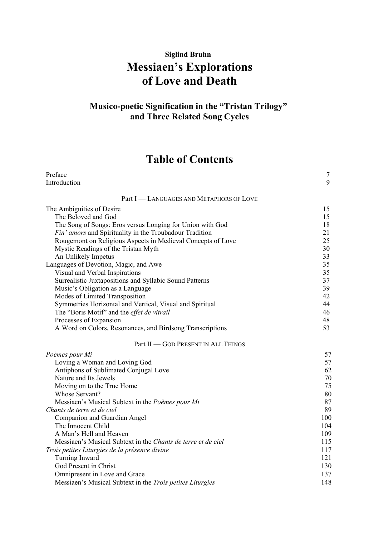## **Siglind Bruhn Messiaen's Explorations of Love and Death**

## **Musico-poetic Signification in the "Tristan Trilogy" and Three Related Song Cycles**

## **Table of Contents**

| Preface                                                          | $\overline{7}$ |
|------------------------------------------------------------------|----------------|
| Introduction                                                     | 9              |
| Part I - LANGUAGES AND METAPHORS OF LOVE                         |                |
| The Ambiguities of Desire                                        | 15             |
| The Beloved and God                                              | 15             |
| The Song of Songs: Eros versus Longing for Union with God        | 18             |
| Fin' amors and Spirituality in the Troubadour Tradition          | 21             |
| Rougemont on Religious Aspects in Medieval Concepts of Love      | 25             |
| Mystic Readings of the Tristan Myth                              | 30             |
| An Unlikely Impetus                                              | 33             |
| Languages of Devotion, Magic, and Awe                            | 35             |
| Visual and Verbal Inspirations                                   | 35             |
| Surrealistic Juxtapositions and Syllabic Sound Patterns          | 37             |
| Music's Obligation as a Language                                 | 39             |
| Modes of Limited Transposition                                   | 42             |
| Symmetries Horizontal and Vertical, Visual and Spiritual         | 44             |
| The "Boris Motif" and the effet de vitrail                       | 46             |
| Processes of Expansion                                           | 48             |
| A Word on Colors, Resonances, and Birdsong Transcriptions        | 53             |
| Part II - GOD PRESENT IN ALL THINGS                              |                |
| Poèmes pour Mi                                                   | 57             |
| Loving a Woman and Loving God                                    | 57             |
| Antiphons of Sublimated Conjugal Love                            | 62             |
| Nature and Its Jewels                                            | 70             |
| Moving on to the True Home                                       | 75             |
| Whose Servant?                                                   | 80             |
| Messiaen's Musical Subtext in the Poèmes pour Mi                 | 87             |
| Chants de terre et de ciel                                       | 89             |
| Companion and Guardian Angel                                     | 100            |
| The Innocent Child                                               | 104            |
| A Man's Hell and Heaven                                          | 109            |
| Messiaen's Musical Subtext in the Chants de terre et de ciel     | 115            |
| Trois petites Liturgies de la présence divine                    | 117            |
| Turning Inward                                                   | 121            |
| God Present in Christ                                            | 130            |
| Omnipresent in Love and Grace                                    | 137            |
| Messiaen's Musical Subtext in the <i>Trois petites Liturgies</i> | 148            |